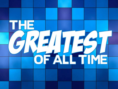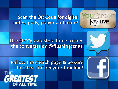**Scan the QR Code for digital** notes, polls, prayer and more!



Use #FCCgreatestofalltime to join the conversation @flushingccnaz

Follow the church page & be sure to "check in" on your timeline!

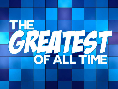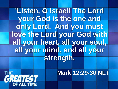**'Listen, O Israel! The Lord your God is the one and**  only Lord. And you must **love the Lord your God with all your heart, all your soul, all your mind, and all your strength.** 

**THE** 

**Mark 12:29-30 NLT**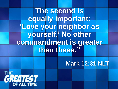**The second is equally important: 'Love your neighbor as yourself.' No other commandment is greater than these."** 

**Mark 12:31 NLT**

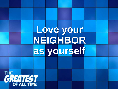# **Love your NEIGHBOR as yourself**CREATEST OF ALL TIME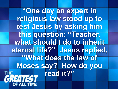**"One day an expert in religious law stood up to test Jesus by asking him this question: "Teacher,**  what should I do to inherit **eternal life?" Jesus replied, "What does the law of Moses say? How do you read it?"THE**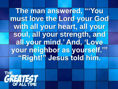**The man answered, "'You must love the Lord your God with all your heart, all your soul, all your strength, and all your mind.' And, 'Love your neighbor as yourself.'" "Right!" Jesus told him.** 

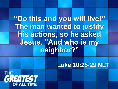## **"Do this and you will live!" The man wanted to justify his actions, so he asked Jesus, "And who is my neighbor?"**

### **Luke 10:25-29 NLT**

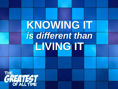# **KNOWING IT**  *is different than*  **LIVING IT**

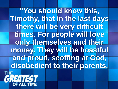**"You should know this, Timothy, that in the last days there will be very difficult times. For people will love only themselves and their money. They will be boastful and proud, scoffing at God, disobedient to their parents,** 대퇴 **GREATEST**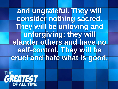**and ungrateful. They will consider nothing sacred. They will be unloving and unforgiving; they will slander others and have no self-control. They will be cruel and hate what is good.** 

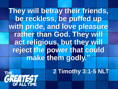## **They will betray their friends, be reckless, be puffed up with pride, and love pleasure rather than God. They will act religious, but they will reject the power that could make them godly."**

### **2 Timothy 3:1-5 NLT**